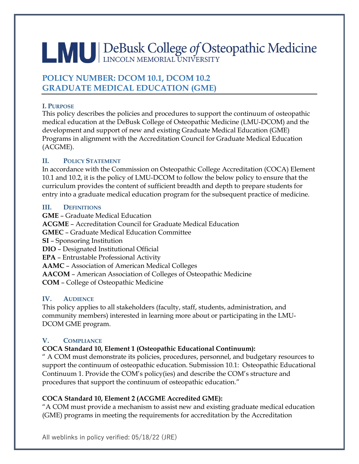# LAU DeBusk College of Osteopathic Medicine

## **POLICY NUMBER: DCOM 10.1, DCOM 10.2 GRADUATE MEDICAL EDUCATION (GME)**

#### **I. PURPOSE**

This policy describes the policies and procedures to support the continuum of osteopathic medical education at the DeBusk College of Osteopathic Medicine (LMU-DCOM) and the development and support of new and existing Graduate Medical Education (GME) Programs in alignment with the Accreditation Council for Graduate Medical Education (ACGME).

## **II. POLICY STATEMENT**

In accordance with the Commission on Osteopathic College Accreditation (COCA) Element 10.1 and 10.2, it is the policy of LMU-DCOM to follow the below policy to ensure that the curriculum provides the content of sufficient breadth and depth to prepare students for entry into a graduate medical education program for the subsequent practice of medicine.

## **III. DEFINITIONS**

**GME** – Graduate Medical Education **ACGME** – Accreditation Council for Graduate Medical Education **GMEC** – Graduate Medical Education Committee **SI** – Sponsoring Institution **DIO** – Designated Institutional Official **EPA** – Entrustable Professional Activity **AAMC** – Association of American Medical Colleges **AACOM** – American Association of Colleges of Osteopathic Medicine **COM** – College of Osteopathic Medicine

## **IV. AUDIENCE**

This policy applies to all stakeholders (faculty, staff, students, administration, and community members) interested in learning more about or participating in the LMU-DCOM GME program.

## **V. COMPLIANCE**

## **COCA Standard 10, Element 1 (Osteopathic Educational Continuum):**

" A COM must demonstrate its policies, procedures, personnel, and budgetary resources to support the continuum of osteopathic education. Submission 10.1: Osteopathic Educational Continuum 1. Provide the COM's policy(ies) and describe the COM's structure and procedures that support the continuum of osteopathic education."

## **COCA Standard 10, Element 2 (ACGME Accredited GME):**

"A COM must provide a mechanism to assist new and existing graduate medical education (GME) programs in meeting the requirements for accreditation by the Accreditation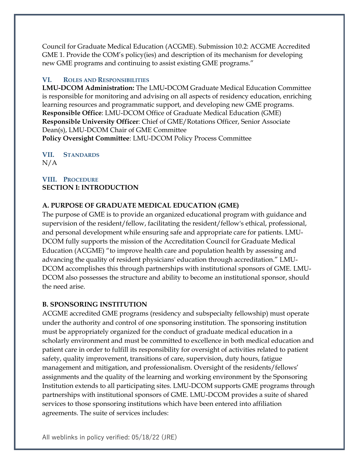Council for Graduate Medical Education (ACGME). Submission 10.2: ACGME Accredited GME 1. Provide the COM's policy(ies) and description of its mechanism for developing new GME programs and continuing to assist existing GME programs."

#### **VI. ROLES AND RESPONSIBILITIES**

**LMU-DCOM Administration:** The LMU**-**DCOM Graduate Medical Education Committee is responsible for monitoring and advising on all aspects of residency education, enriching learning resources and programmatic support, and developing new GME programs. **Responsible Office**: LMU-DCOM Office of Graduate Medical Education (GME) **Responsible University Officer**: Chief of GME/Rotations Officer, Senior Associate Dean(s), LMU-DCOM Chair of GME Committee **Policy Oversight Committee**: LMU-DCOM Policy Process Committee

**VII. STANDARDS**  $N/A$ 

#### **VIII. PROCEDURE SECTION I: INTRODUCTION**

#### **A. PURPOSE OF GRADUATE MEDICAL EDUCATION (GME)**

The purpose of GME is to provide an organized educational program with guidance and supervision of the resident/fellow, facilitating the resident/fellow's ethical, professional, and personal development while ensuring safe and appropriate care for patients. LMU-DCOM fully supports the mission of the Accreditation Council for Graduate Medical Education (ACGME) "to improve health care and population health by assessing and advancing the quality of resident physicians' education through accreditation." LMU-DCOM accomplishes this through partnerships with institutional sponsors of GME. LMU-DCOM also possesses the structure and ability to become an institutional sponsor, should the need arise.

#### **B. SPONSORING INSTITUTION**

ACGME accredited GME programs (residency and subspecialty fellowship) must operate under the authority and control of one sponsoring institution. The sponsoring institution must be appropriately organized for the conduct of graduate medical education in a scholarly environment and must be committed to excellence in both medical education and patient care in order to fulfill its responsibility for oversight of activities related to patient safety, quality improvement, transitions of care, supervision, duty hours, fatigue management and mitigation, and professionalism. Oversight of the residents/fellows' assignments and the quality of the learning and working environment by the Sponsoring Institution extends to all participating sites. LMU-DCOM supports GME programs through partnerships with institutional sponsors of GME. LMU-DCOM provides a suite of shared services to those sponsoring institutions which have been entered into affiliation agreements. The suite of services includes: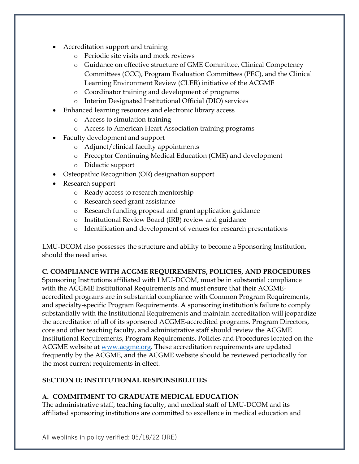- Accreditation support and training
	- o Periodic site visits and mock reviews
	- o Guidance on effective structure of GME Committee, Clinical Competency Committees (CCC), Program Evaluation Committees (PEC), and the Clinical Learning Environment Review (CLER) initiative of the ACGME
	- o Coordinator training and development of programs
	- o Interim Designated Institutional Official (DIO) services
- Enhanced learning resources and electronic library access
	- o Access to simulation training
	- o Access to American Heart Association training programs
- Faculty development and support
	- o Adjunct/clinical faculty appointments
	- o Preceptor Continuing Medical Education (CME) and development
	- o Didactic support
- Osteopathic Recognition (OR) designation support
- Research support
	- o Ready access to research mentorship
	- o Research seed grant assistance
	- o Research funding proposal and grant application guidance
	- o Institutional Review Board (IRB) review and guidance
	- o Identification and development of venues for research presentations

LMU-DCOM also possesses the structure and ability to become a Sponsoring Institution, should the need arise.

#### **C. COMPLIANCE WITH ACGME REQUIREMENTS, POLICIES, AND PROCEDURES**

Sponsoring Institutions affiliated with LMU-DCOM, must be in substantial compliance with the ACGME Institutional Requirements and must ensure that their ACGMEaccredited programs are in substantial compliance with Common Program Requirements, and specialty-specific Program Requirements. A sponsoring institution's failure to comply substantially with the Institutional Requirements and maintain accreditation will jeopardize the accreditation of all of its sponsored ACGME-accredited programs. Program Directors, core and other teaching faculty, and administrative staff should review the ACGME Institutional Requirements, Program Requirements, Policies and Procedures located on the ACGME website at <u>www.acgme.org</u>. These accreditation requirements are updated frequently by the ACGME, and the ACGME website should be reviewed periodically for the most current requirements in effect.

#### **SECTION II: INSTITUTIONAL RESPONSIBILITIES**

#### **A. COMMITMENT TO GRADUATE MEDICAL EDUCATION**

The administrative staff, teaching faculty, and medical staff of LMU-DCOM and its affiliated sponsoring institutions are committed to excellence in medical education and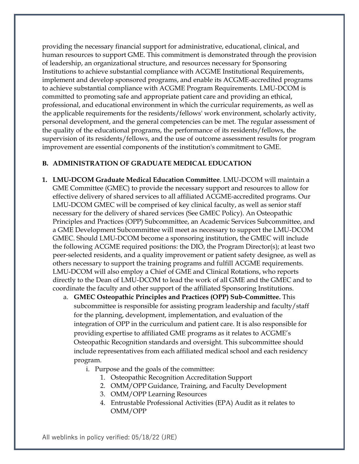providing the necessary financial support for administrative, educational, clinical, and human resources to support GME. This commitment is demonstrated through the provision of leadership, an organizational structure, and resources necessary for Sponsoring Institutions to achieve substantial compliance with ACGME Institutional Requirements, implement and develop sponsored programs, and enable its ACGME-accredited programs to achieve substantial compliance with ACGME Program Requirements. LMU-DCOM is committed to promoting safe and appropriate patient care and providing an ethical, professional, and educational environment in which the curricular requirements, as well as the applicable requirements for the residents/fellows' work environment, scholarly activity, personal development, and the general competencies can be met. The regular assessment of the quality of the educational programs, the performance of its residents/fellows, the supervision of its residents/fellows, and the use of outcome assessment results for program improvement are essential components of the institution's commitment to GME.

#### **B. ADMINISTRATION OF GRADUATE MEDICAL EDUCATION**

- **1. LMU-DCOM Graduate Medical Education Committee**. LMU-DCOM will maintain a GME Committee (GMEC) to provide the necessary support and resources to allow for effective delivery of shared services to all affiliated ACGME-accredited programs. Our LMU-DCOM GMEC will be comprised of key clinical faculty, as well as senior staff necessary for the delivery of shared services (See GMEC Policy). An Osteopathic Principles and Practices (OPP) Subcommittee, an Academic Services Subcommittee, and a GME Development Subcommittee will meet as necessary to support the LMU-DCOM GMEC. Should LMU-DCOM become a sponsoring institution, the GMEC will include the following ACGME required positions: the DIO, the Program Director(s); at least two peer-selected residents, and a quality improvement or patient safety designee, as well as others necessary to support the training programs and fulfill ACGME requirements. LMU-DCOM will also employ a Chief of GME and Clinical Rotations, who reports directly to the Dean of LMU-DCOM to lead the work of all GME and the GMEC and to coordinate the faculty and other support of the affiliated Sponsoring Institutions.
	- a. **GMEC Osteopathic Principles and Practices (OPP) Sub-Committee.** This subcommittee is responsible for assisting program leadership and faculty/staff for the planning, development, implementation, and evaluation of the integration of OPP in the curriculum and patient care. It is also responsible for providing expertise to affiliated GME programs as it relates to ACGME's Osteopathic Recognition standards and oversight. This subcommittee should include representatives from each affiliated medical school and each residency program.
		- i. Purpose and the goals of the committee:
			- 1. Osteopathic Recognition Accreditation Support
			- 2. OMM/OPP Guidance, Training, and Faculty Development
			- 3. OMM/OPP Learning Resources
			- 4. Entrustable Professional Activities (EPA) Audit as it relates to OMM/OPP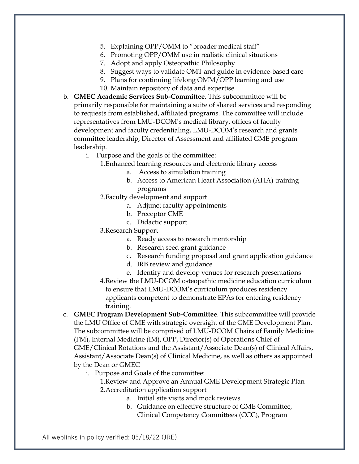- 5. Explaining OPP/OMM to "broader medical staff"
- 6. Promoting OPP/OMM use in realistic clinical situations
- 7. Adopt and apply Osteopathic Philosophy
- 8. Suggest ways to validate OMT and guide in evidence-based care
- 9. Plans for continuing lifelong OMM/OPP learning and use
- 10. Maintain repository of data and expertise
- b. **GMEC Academic Services Sub-Committee**. This subcommittee will be primarily responsible for maintaining a suite of shared services and responding to requests from established, affiliated programs. The committee will include representatives from LMU-DCOM's medical library, offices of faculty development and faculty credentialing, LMU-DCOM's research and grants committee leadership, Director of Assessment and affiliated GME program leadership.
	- i. Purpose and the goals of the committee:
		- 1.Enhanced learning resources and electronic library access
			- a. Access to simulation training
			- b. Access to American Heart Association (AHA) training programs
		- 2.Faculty development and support
			- a. Adjunct faculty appointments
			- b. Preceptor CME
			- c. Didactic support
		- 3.Research Support
			- a. Ready access to research mentorship
			- b. Research seed grant guidance
			- c. Research funding proposal and grant application guidance
			- d. IRB review and guidance
			- e. Identify and develop venues for research presentations
		- 4.Review the LMU-DCOM osteopathic medicine education curriculum to ensure that LMU-DCOM's curriculum produces residency applicants competent to demonstrate EPAs for entering residency training.
- c. **GMEC Program Development Sub-Committee**. This subcommittee will provide the LMU Office of GME with strategic oversight of the GME Development Plan. The subcommittee will be comprised of LMU-DCOM Chairs of Family Medicine (FM), Internal Medicine (IM), OPP, Director(s) of Operations Chief of GME/Clinical Rotations and the Assistant/Associate Dean(s) of Clinical Affairs, Assistant/Associate Dean(s) of Clinical Medicine, as well as others as appointed by the Dean or GMEC
	- i. Purpose and Goals of the committee:
		- 1.Review and Approve an Annual GME Development Strategic Plan 2.Accreditation application support
			- a. Initial site visits and mock reviews
			- b. Guidance on effective structure of GME Committee, Clinical Competency Committees (CCC), Program

All weblinks in policy verified: 05/18/22 (JRE)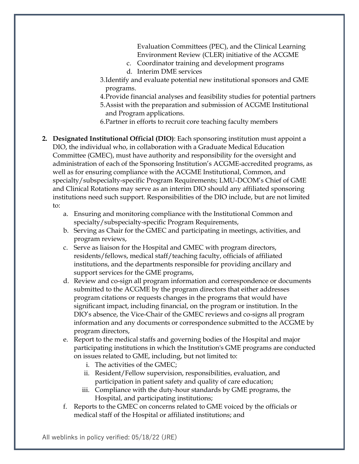Evaluation Committees (PEC), and the Clinical Learning Environment Review (CLER) initiative of the ACGME

- c. Coordinator training and development programs
- d. Interim DME services
- 3.Identify and evaluate potential new institutional sponsors and GME programs.
- 4.Provide financial analyses and feasibility studies for potential partners
- 5.Assist with the preparation and submission of ACGME Institutional and Program applications.
- 6.Partner in efforts to recruit core teaching faculty members
- **2. Designated Institutional Official (DIO)**: Each sponsoring institution must appoint a DIO, the individual who, in collaboration with a Graduate Medical Education Committee (GMEC), must have authority and responsibility for the oversight and administration of each of the Sponsoring Institution's ACGME-accredited programs, as well as for ensuring compliance with the ACGME Institutional, Common, and specialty/subspecialty-specific Program Requirements; LMU-DCOM's Chief of GME and Clinical Rotations may serve as an interim DIO should any affiliated sponsoring institutions need such support. Responsibilities of the DIO include, but are not limited to:
	- a. Ensuring and monitoring compliance with the Institutional Common and specialty/subspecialty-specific Program Requirements,
	- b. Serving as Chair for the GMEC and participating in meetings, activities, and program reviews,
	- c. Serve as liaison for the Hospital and GMEC with program directors, residents/fellows, medical staff/teaching faculty, officials of affiliated institutions, and the departments responsible for providing ancillary and support services for the GME programs,
	- d. Review and co-sign all program information and correspondence or documents submitted to the ACGME by the program directors that either addresses program citations or requests changes in the programs that would have significant impact, including financial, on the program or institution. In the DIO's absence, the Vice-Chair of the GMEC reviews and co-signs all program information and any documents or correspondence submitted to the ACGME by program directors,
	- e. Report to the medical staffs and governing bodies of the Hospital and major participating institutions in which the Institution's GME programs are conducted on issues related to GME, including, but not limited to:
		- i. The activities of the GMEC;
		- ii. Resident/Fellow supervision, responsibilities, evaluation, and participation in patient safety and quality of care education;
		- iii. Compliance with the duty-hour standards by GME programs, the Hospital, and participating institutions;
	- f. Reports to the GMEC on concerns related to GME voiced by the officials or medical staff of the Hospital or affiliated institutions; and

All weblinks in policy verified: 05/18/22 (JRE)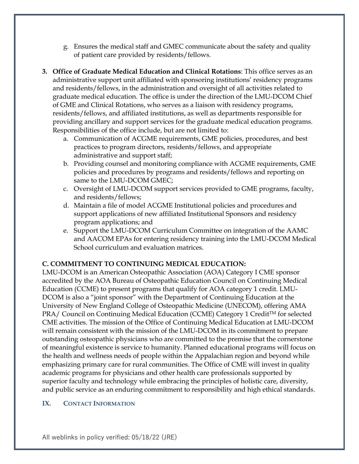- g. Ensures the medical staff and GMEC communicate about the safety and quality of patient care provided by residents/fellows.
- **3. Office of Graduate Medical Education and Clinical Rotations**: This office serves as an administrative support unit affiliated with sponsoring institutions' residency programs and residents/fellows, in the administration and oversight of all activities related to graduate medical education. The office is under the direction of the LMU-DCOM Chief of GME and Clinical Rotations, who serves as a liaison with residency programs, residents/fellows, and affiliated institutions, as well as departments responsible for providing ancillary and support services for the graduate medical education programs. Responsibilities of the office include, but are not limited to:
	- a. Communication of ACGME requirements, GME policies, procedures, and best practices to program directors, residents/fellows, and appropriate administrative and support staff;
	- b. Providing counsel and monitoring compliance with ACGME requirements, GME policies and procedures by programs and residents/fellows and reporting on same to the LMU-DCOM GMEC;
	- c. Oversight of LMU-DCOM support services provided to GME programs, faculty, and residents/fellows;
	- d. Maintain a file of model ACGME Institutional policies and procedures and support applications of new affiliated Institutional Sponsors and residency program applications; and
	- e. Support the LMU-DCOM Curriculum Committee on integration of the AAMC and AACOM EPAs for entering residency training into the LMU-DCOM Medical School curriculum and evaluation matrices.

#### **C. COMMITMENT TO CONTINUING MEDICAL EDUCATION:**

LMU-DCOM is an American Osteopathic Association (AOA) Category I CME sponsor accredited by the AOA Bureau of Osteopathic Education Council on Continuing Medical Education (CCME) to present programs that qualify for AOA category 1 credit. LMU-DCOM is also a "joint sponsor" with the Department of Continuing Education at the University of New England College of Osteopathic Medicine (UNECOM), offering AMA PRA/ Council on Continuing Medical Education (CCME) Category 1 Credit™ for selected CME activities. The mission of the Office of Continuing Medical Education at LMU-DCOM will remain consistent with the mission of the LMU-DCOM in its commitment to prepare outstanding osteopathic physicians who are committed to the premise that the cornerstone of meaningful existence is service to humanity. Planned educational programs will focus on the health and wellness needs of people within the Appalachian region and beyond while emphasizing primary care for rural communities. The Office of CME will invest in quality academic programs for physicians and other health care professionals supported by superior faculty and technology while embracing the principles of holistic care, diversity, and public service as an enduring commitment to responsibility and high ethical standards.

#### **IX. CONTACT INFORMATION**